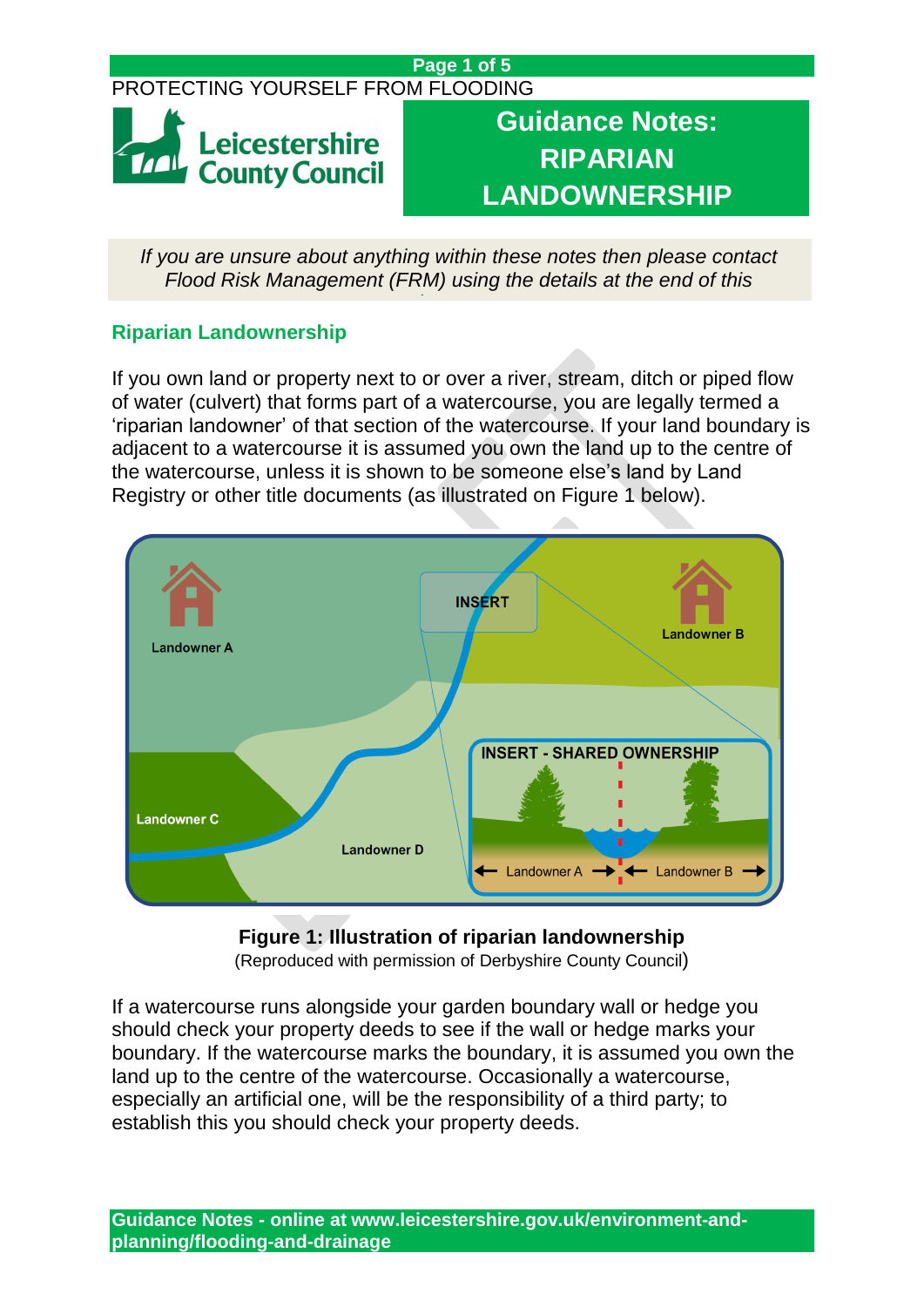## **Page 1 of 5**

# PROTECTING YOURSELF FROM FLOODING



**Guidance Notes: RIPARIAN LANDOWNERSHIP**

*If you are unsure about anything within these notes then please contact Flood Risk Management (FRM) using the details at the end of this* 

*document.*

# **Riparian Landownership**

If you own land or property next to or over a river, stream, ditch or piped flow of water (culvert) that forms part of a watercourse, you are legally termed a 'riparian landowner' of that section of the watercourse. If your land boundary is adjacent to a watercourse it is assumed you own the land up to the centre of the watercourse, unless it is shown to be someone else's land by Land Registry or other title documents (as illustrated on Figure 1 below).



**Figure 1: Illustration of riparian landownership**

(Reproduced with permission of Derbyshire County Council)

If a watercourse runs alongside your garden boundary wall or hedge you should check your property deeds to see if the wall or hedge marks your boundary. If the watercourse marks the boundary, it is assumed you own the land up to the centre of the watercourse. Occasionally a watercourse, especially an artificial one, will be the responsibility of a third party; to establish this you should check your property deeds.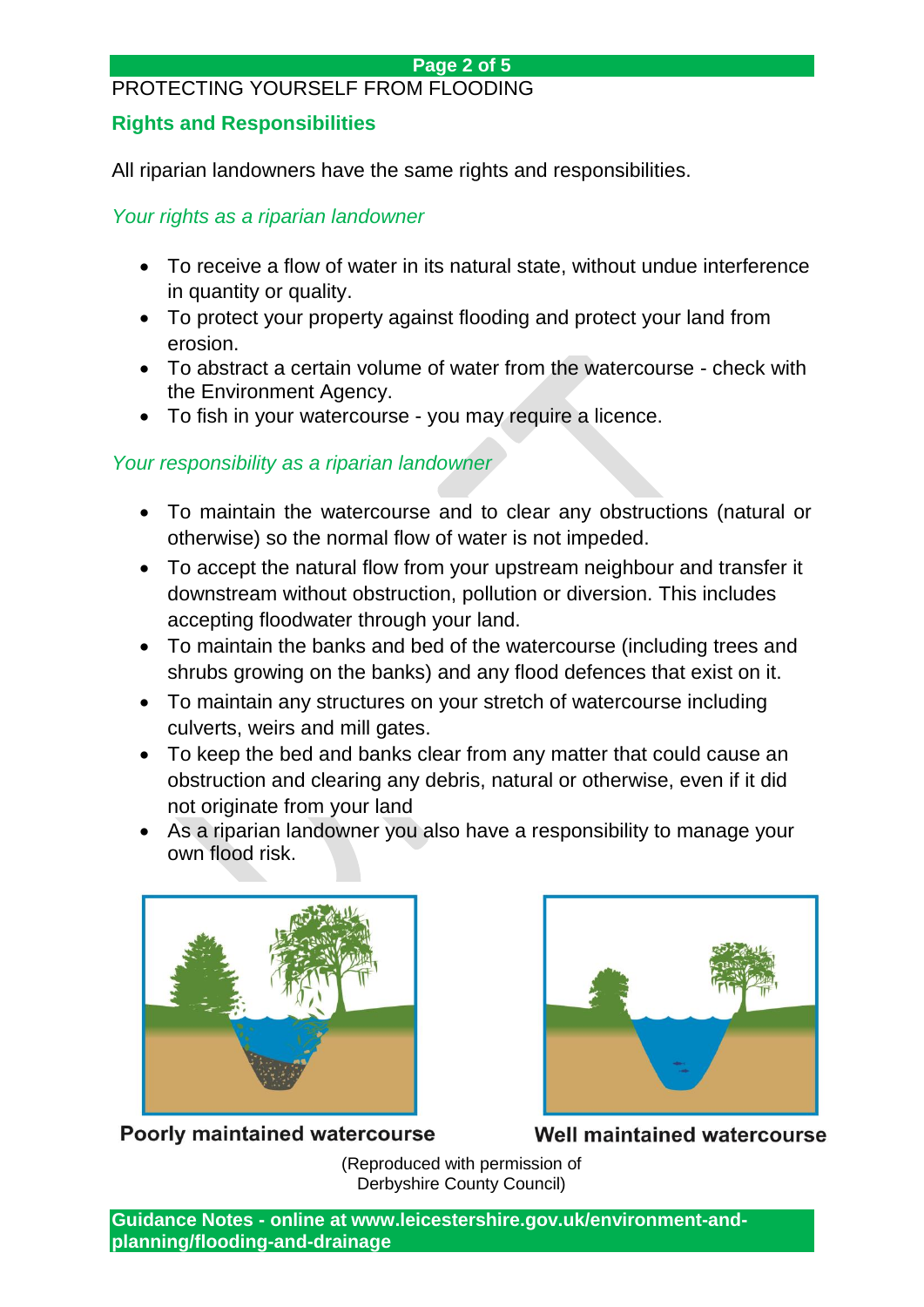#### **Page 2 of 5**

#### PROTECTING YOURSELF FROM FLOODING

## **Rights and Responsibilities**

All riparian landowners have the same rights and responsibilities.

*Your rights as a riparian landowner*

- To receive a flow of water in its natural state, without undue interference in quantity or quality.
- To protect your property against flooding and protect your land from erosion.
- To abstract a certain volume of water from the watercourse check with the Environment Agency.
- To fish in your watercourse you may require a licence.

# *Your responsibility as a riparian landowner*

- To maintain the watercourse and to clear any obstructions (natural or otherwise) so the normal flow of water is not impeded.
- To accept the natural flow from your upstream neighbour and transfer it downstream without obstruction, pollution or diversion. This includes accepting floodwater through your land.
- To maintain the banks and bed of the watercourse (including trees and shrubs growing on the banks) and any flood defences that exist on it.
- To maintain any structures on your stretch of watercourse including culverts, weirs and mill gates.
- To keep the bed and banks clear from any matter that could cause an obstruction and clearing any debris, natural or otherwise, even if it did not originate from your land
- As a riparian landowner you also have a responsibility to manage your own flood risk.



**Poorly maintained watercourse** 



Well maintained watercourse

(Reproduced with permission of Derbyshire County Council)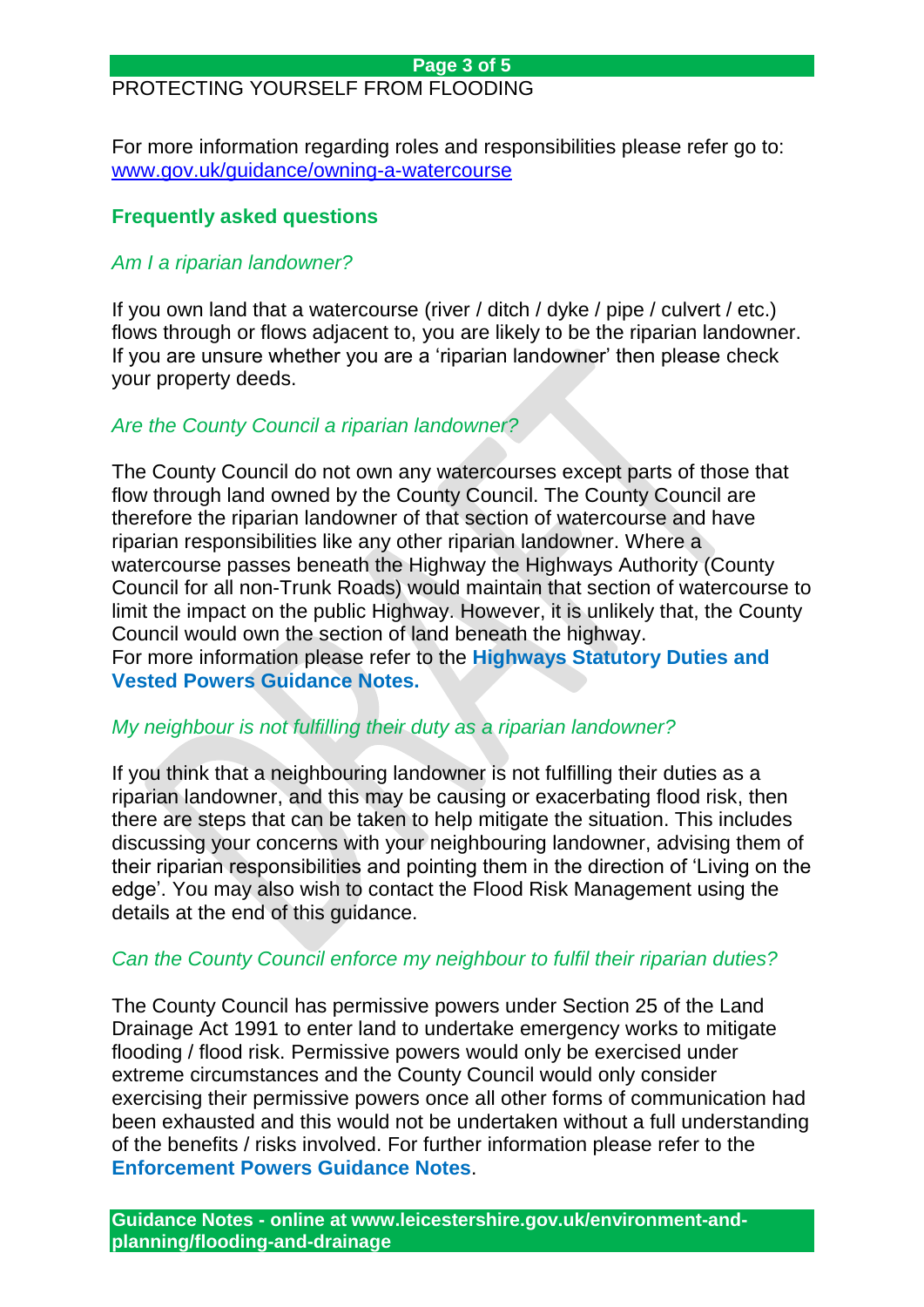# PROTECTING YOURSELF FROM FLOODING

For more information regarding roles and responsibilities please refer go to: <www.gov.uk/guidance/owning-a-watercourse>

## **Frequently asked questions**

# *Am I a riparian landowner?*

If you own land that a watercourse (river / ditch / dyke / pipe / culvert / etc.) flows through or flows adjacent to, you are likely to be the riparian landowner. If you are unsure whether you are a 'riparian landowner' then please check your property deeds.

## *Are the County Council a riparian landowner?*

The County Council do not own any watercourses except parts of those that flow through land owned by the County Council. The County Council are therefore the riparian landowner of that section of watercourse and have riparian responsibilities like any other riparian landowner. Where a watercourse passes beneath the Highway the Highways Authority (County Council for all non-Trunk Roads) would maintain that section of watercourse to limit the impact on the public Highway. However, it is unlikely that, the County Council would own the section of land beneath the highway. For more information please refer to the **Highways Statutory Duties and Vested Powers Guidance Notes.**

#### *My neighbour is not fulfilling their duty as a riparian landowner?*

If you think that a neighbouring landowner is not fulfilling their duties as a riparian landowner, and this may be causing or exacerbating flood risk, then there are steps that can be taken to help mitigate the situation. This includes discussing your concerns with your neighbouring landowner, advising them of their riparian responsibilities and pointing them in the direction of 'Living on the edge'. You may also wish to contact the Flood Risk Management using the details at the end of this guidance.

#### *Can the County Council enforce my neighbour to fulfil their riparian duties?*

The County Council has permissive powers under Section 25 of the Land Drainage Act 1991 to enter land to undertake emergency works to mitigate flooding / flood risk. Permissive powers would only be exercised under extreme circumstances and the County Council would only consider exercising their permissive powers once all other forms of communication had been exhausted and this would not be undertaken without a full understanding of the benefits / risks involved. For further information please refer to the **Enforcement Powers Guidance Notes**.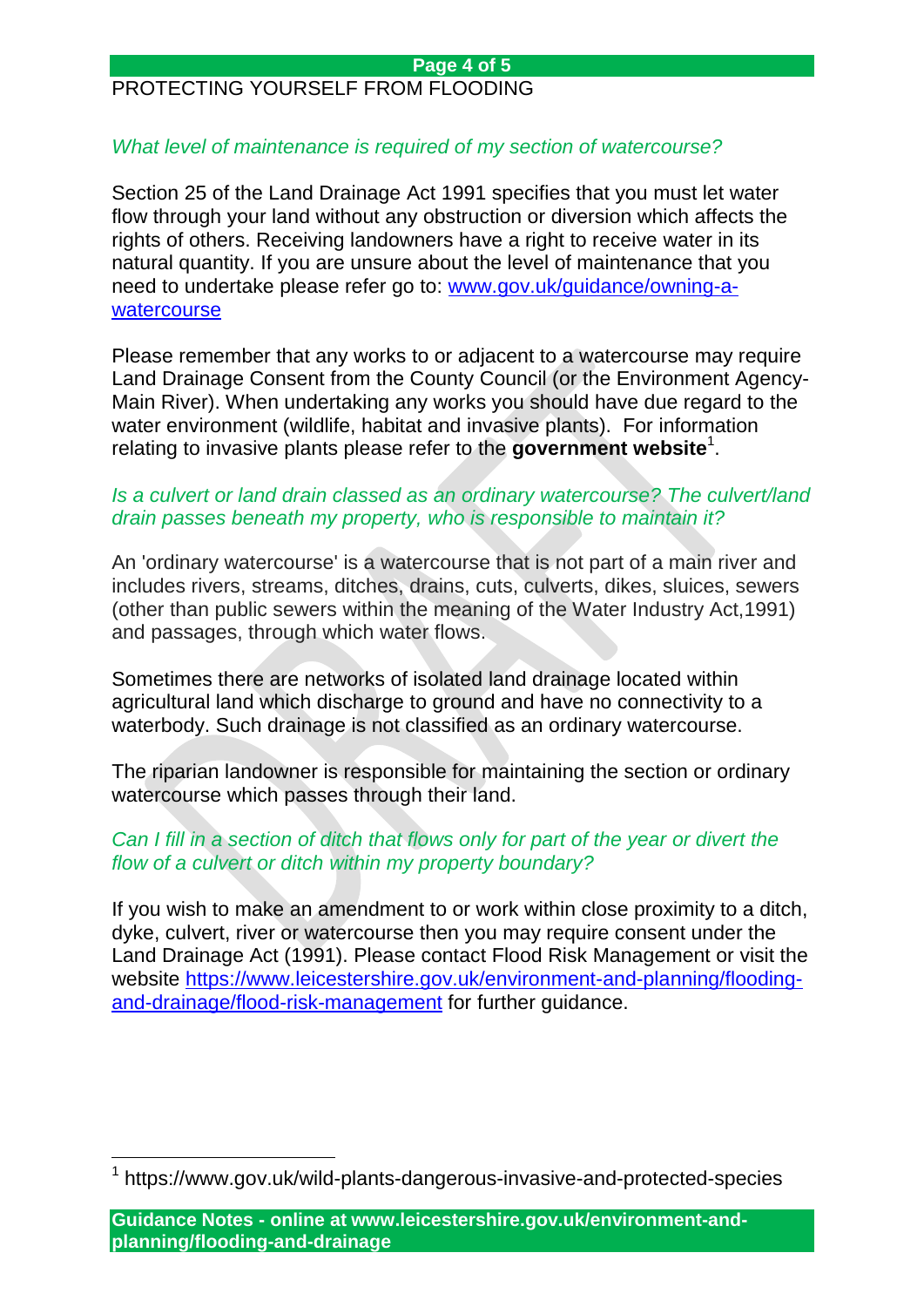#### **Page 4 of 5**

# PROTECTING YOURSELF FROM FLOODING

#### *What level of maintenance is required of my section of watercourse?*

Section 25 of the Land Drainage Act 1991 specifies that you must let water flow through your land without any obstruction or diversion which affects the rights of others. Receiving landowners have a right to receive water in its natural quantity. If you are unsure about the level of maintenance that you need to undertake please refer go to: [www.gov.uk/guidance/owning-a](www.gov.uk/guidance/owning-a-watercourse)[watercourse](www.gov.uk/guidance/owning-a-watercourse)

Please remember that any works to or adjacent to a watercourse may require Land Drainage Consent from the County Council (or the Environment Agency-Main River). When undertaking any works you should have due regard to the water environment (wildlife, habitat and invasive plants). For information relating to invasive plants please refer to the government website<sup>1</sup>.

#### *Is a culvert or land drain classed as an ordinary watercourse? The culvert/land drain passes beneath my property, who is responsible to maintain it?*

An 'ordinary watercourse' is a watercourse that is not part of a main river and includes rivers, streams, ditches, drains, cuts, culverts, dikes, sluices, sewers (other than public sewers within the meaning of the Water Industry Act,1991) and passages, through which water flows.

Sometimes there are networks of isolated land drainage located within agricultural land which discharge to ground and have no connectivity to a waterbody. Such drainage is not classified as an ordinary watercourse.

The riparian landowner is responsible for maintaining the section or ordinary watercourse which passes through their land.

## *Can I fill in a section of ditch that flows only for part of the year or divert the flow of a culvert or ditch within my property boundary?*

If you wish to make an amendment to or work within close proximity to a ditch, dyke, culvert, river or watercourse then you may require consent under the Land Drainage Act (1991). Please contact Flood Risk Management or visit the website [https://www.leicestershire.gov.uk/environment-and-planning/flooding](https://www.leicestershire.gov.uk/environment-and-planning/flooding-and-drainage/flood-risk-management)[and-drainage/flood-risk-management](https://www.leicestershire.gov.uk/environment-and-planning/flooding-and-drainage/flood-risk-management) for further guidance.

 $\overline{a}$ 

<sup>1</sup> https://www.gov.uk/wild-plants-dangerous-invasive-and-protected-species